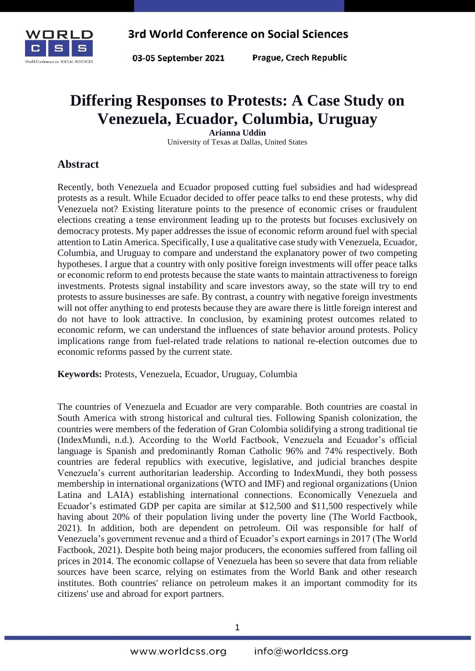

03-05 September 2021

Prague, Czech Republic

# **Differing Responses to Protests: A Case Study on Venezuela, Ecuador, Columbia, Uruguay**

**Arianna Uddin** University of Texas at Dallas, United States

## **Abstract**

Recently, both Venezuela and Ecuador proposed cutting fuel subsidies and had widespread protests as a result. While Ecuador decided to offer peace talks to end these protests, why did Venezuela not? Existing literature points to the presence of economic crises or fraudulent elections creating a tense environment leading up to the protests but focuses exclusively on democracy protests. My paper addresses the issue of economic reform around fuel with special attention to Latin America. Specifically, I use a qualitative case study with Venezuela, Ecuador, Columbia, and Uruguay to compare and understand the explanatory power of two competing hypotheses. I argue that a country with only positive foreign investments will offer peace talks or economic reform to end protests because the state wants to maintain attractiveness to foreign investments. Protests signal instability and scare investors away, so the state will try to end protests to assure businesses are safe. By contrast, a country with negative foreign investments will not offer anything to end protests because they are aware there is little foreign interest and do not have to look attractive. In conclusion, by examining protest outcomes related to economic reform, we can understand the influences of state behavior around protests. Policy implications range from fuel-related trade relations to national re-election outcomes due to economic reforms passed by the current state.

**Keywords:** Protests, Venezuela, Ecuador, Uruguay, Columbia

The countries of Venezuela and Ecuador are very comparable. Both countries are coastal in South America with strong historical and cultural ties. Following Spanish colonization, the countries were members of the federation of Gran Colombia solidifying a strong traditional tie (IndexMundi, n.d.). According to the World Factbook, Venezuela and Ecuador's official language is Spanish and predominantly Roman Catholic 96% and 74% respectively. Both countries are federal republics with executive, legislative, and judicial branches despite Venezuela's current authoritarian leadership. According to IndexMundi, they both possess membership in international organizations (WTO and IMF) and regional organizations (Union Latina and LAIA) establishing international connections. Economically Venezuela and Ecuador's estimated GDP per capita are similar at \$12,500 and \$11,500 respectively while having about 20% of their population living under the poverty line (The World Factbook, 2021). In addition, both are dependent on petroleum. Oil was responsible for half of Venezuela's government revenue and a third of Ecuador's export earnings in 2017 (The World Factbook, 2021). Despite both being major producers, the economies suffered from falling oil prices in 2014. The economic collapse of Venezuela has been so severe that data from reliable sources have been scarce, relying on estimates from the World Bank and other research institutes. Both countries' reliance on petroleum makes it an important commodity for its citizens' use and abroad for export partners.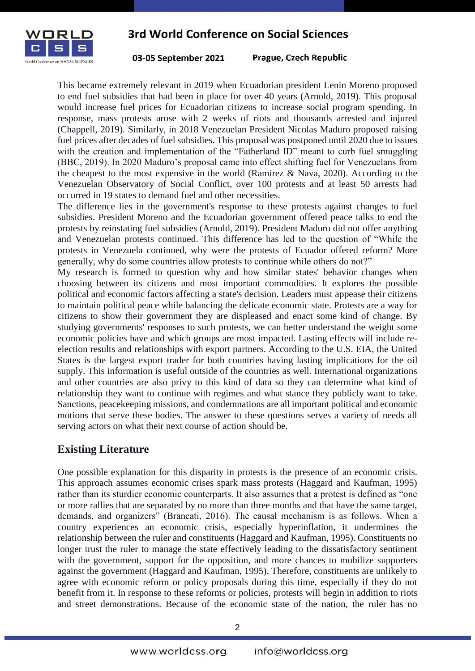

03-05 September 2021

Prague, Czech Republic

This became extremely relevant in 2019 when Ecuadorian president Lenin Moreno proposed to end fuel subsidies that had been in place for over 40 years (Arnold, 2019). This proposal would increase fuel prices for Ecuadorian citizens to increase social program spending. In response, mass protests arose with 2 weeks of riots and thousands arrested and injured (Chappell, 2019). Similarly, in 2018 Venezuelan President Nicolas Maduro proposed raising fuel prices after decades of fuel subsidies. This proposal was postponed until 2020 due to issues with the creation and implementation of the "Fatherland ID" meant to curb fuel smuggling (BBC, 2019). In 2020 Maduro's proposal came into effect shifting fuel for Venezuelans from the cheapest to the most expensive in the world (Ramirez & Nava, 2020). According to the Venezuelan Observatory of Social Conflict, over 100 protests and at least 50 arrests had occurred in 19 states to demand fuel and other necessities.

The difference lies in the government's response to these protests against changes to fuel subsidies. President Moreno and the Ecuadorian government offered peace talks to end the protests by reinstating fuel subsidies (Arnold, 2019). President Maduro did not offer anything and Venezuelan protests continued. This difference has led to the question of "While the protests in Venezuela continued, why were the protests of Ecuador offered reform? More generally, why do some countries allow protests to continue while others do not?"

My research is formed to question why and how similar states' behavior changes when choosing between its citizens and most important commodities. It explores the possible political and economic factors affecting a state's decision. Leaders must appease their citizens to maintain political peace while balancing the delicate economic state. Protests are a way for citizens to show their government they are displeased and enact some kind of change. By studying governments' responses to such protests, we can better understand the weight some economic policies have and which groups are most impacted. Lasting effects will include reelection results and relationships with export partners. According to the U.S. EIA, the United States is the largest export trader for both countries having lasting implications for the oil supply. This information is useful outside of the countries as well. International organizations and other countries are also privy to this kind of data so they can determine what kind of relationship they want to continue with regimes and what stance they publicly want to take. Sanctions, peacekeeping missions, and condemnations are all important political and economic motions that serve these bodies. The answer to these questions serves a variety of needs all serving actors on what their next course of action should be.

## **Existing Literature**

One possible explanation for this disparity in protests is the presence of an economic crisis. This approach assumes economic crises spark mass protests (Haggard and Kaufman, 1995) rather than its sturdier economic counterparts. It also assumes that a protest is defined as "one or more rallies that are separated by no more than three months and that have the same target, demands, and organizers" (Brancati, 2016). The causal mechanism is as follows. When a country experiences an economic crisis, especially hyperinflation, it undermines the relationship between the ruler and constituents (Haggard and Kaufman, 1995). Constituents no longer trust the ruler to manage the state effectively leading to the dissatisfactory sentiment with the government, support for the opposition, and more chances to mobilize supporters against the government (Haggard and Kaufman, 1995). Therefore, constituents are unlikely to agree with economic reform or policy proposals during this time, especially if they do not benefit from it. In response to these reforms or policies, protests will begin in addition to riots and street demonstrations. Because of the economic state of the nation, the ruler has no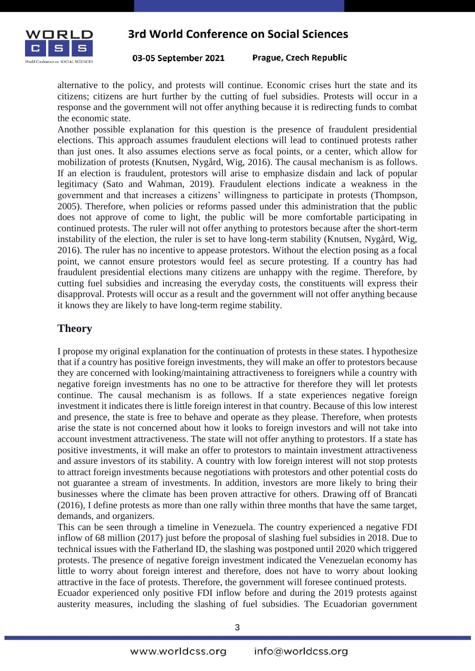

Prague, Czech Republic 03-05 September 2021

alternative to the policy, and protests will continue. Economic crises hurt the state and its citizens; citizens are hurt further by the cutting of fuel subsidies. Protests will occur in a response and the government will not offer anything because it is redirecting funds to combat the economic state.

Another possible explanation for this question is the presence of fraudulent presidential elections. This approach assumes fraudulent elections will lead to continued protests rather than just ones. It also assumes elections serve as focal points, or a center, which allow for mobilization of protests (Knutsen, Nygård, Wig, 2016). The causal mechanism is as follows. If an election is fraudulent, protestors will arise to emphasize disdain and lack of popular legitimacy (Sato and Wahman, 2019). Fraudulent elections indicate a weakness in the government and that increases a citizens' willingness to participate in protests (Thompson, 2005). Therefore, when policies or reforms passed under this administration that the public does not approve of come to light, the public will be more comfortable participating in continued protests. The ruler will not offer anything to protestors because after the short-term instability of the election, the ruler is set to have long-term stability (Knutsen, Nygård, Wig, 2016). The ruler has no incentive to appease protestors. Without the election posing as a focal point, we cannot ensure protestors would feel as secure protesting. If a country has had fraudulent presidential elections many citizens are unhappy with the regime. Therefore, by cutting fuel subsidies and increasing the everyday costs, the constituents will express their disapproval. Protests will occur as a result and the government will not offer anything because it knows they are likely to have long-term regime stability.

#### **Theory**

I propose my original explanation for the continuation of protests in these states. I hypothesize that if a country has positive foreign investments, they will make an offer to protestors because they are concerned with looking/maintaining attractiveness to foreigners while a country with negative foreign investments has no one to be attractive for therefore they will let protests continue. The causal mechanism is as follows. If a state experiences negative foreign investment it indicates there is little foreign interest in that country. Because of this low interest and presence, the state is free to behave and operate as they please. Therefore, when protests arise the state is not concerned about how it looks to foreign investors and will not take into account investment attractiveness. The state will not offer anything to protestors. If a state has positive investments, it will make an offer to protestors to maintain investment attractiveness and assure investors of its stability. A country with low foreign interest will not stop protests to attract foreign investments because negotiations with protestors and other potential costs do not guarantee a stream of investments. In addition, investors are more likely to bring their businesses where the climate has been proven attractive for others. Drawing off of Brancati (2016), I define protests as more than one rally within three months that have the same target, demands, and organizers.

This can be seen through a timeline in Venezuela. The country experienced a negative FDI inflow of 68 million (2017) just before the proposal of slashing fuel subsidies in 2018. Due to technical issues with the Fatherland ID, the slashing was postponed until 2020 which triggered protests. The presence of negative foreign investment indicated the Venezuelan economy has little to worry about foreign interest and therefore, does not have to worry about looking attractive in the face of protests. Therefore, the government will foresee continued protests.

Ecuador experienced only positive FDI inflow before and during the 2019 protests against austerity measures, including the slashing of fuel subsidies. The Ecuadorian government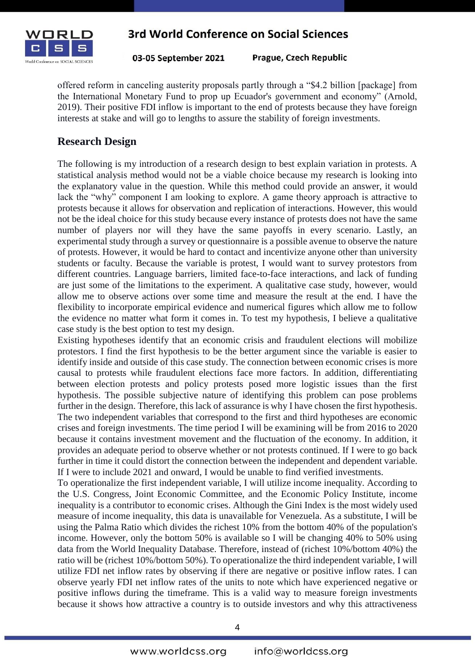

03-05 September 2021

Prague, Czech Republic

offered reform in canceling austerity proposals partly through a "\$4.2 billion [package] from the International Monetary Fund to prop up Ecuador's government and economy" (Arnold, 2019). Their positive FDI inflow is important to the end of protests because they have foreign interests at stake and will go to lengths to assure the stability of foreign investments.

## **Research Design**

The following is my introduction of a research design to best explain variation in protests. A statistical analysis method would not be a viable choice because my research is looking into the explanatory value in the question. While this method could provide an answer, it would lack the "why" component I am looking to explore. A game theory approach is attractive to protests because it allows for observation and replication of interactions. However, this would not be the ideal choice for this study because every instance of protests does not have the same number of players nor will they have the same payoffs in every scenario. Lastly, an experimental study through a survey or questionnaire is a possible avenue to observe the nature of protests. However, it would be hard to contact and incentivize anyone other than university students or faculty. Because the variable is protest, I would want to survey protestors from different countries. Language barriers, limited face-to-face interactions, and lack of funding are just some of the limitations to the experiment. A qualitative case study, however, would allow me to observe actions over some time and measure the result at the end. I have the flexibility to incorporate empirical evidence and numerical figures which allow me to follow the evidence no matter what form it comes in. To test my hypothesis, I believe a qualitative case study is the best option to test my design.

Existing hypotheses identify that an economic crisis and fraudulent elections will mobilize protestors. I find the first hypothesis to be the better argument since the variable is easier to identify inside and outside of this case study. The connection between economic crises is more causal to protests while fraudulent elections face more factors. In addition, differentiating between election protests and policy protests posed more logistic issues than the first hypothesis. The possible subjective nature of identifying this problem can pose problems further in the design. Therefore, this lack of assurance is why I have chosen the first hypothesis. The two independent variables that correspond to the first and third hypotheses are economic crises and foreign investments. The time period I will be examining will be from 2016 to 2020 because it contains investment movement and the fluctuation of the economy. In addition, it provides an adequate period to observe whether or not protests continued. If I were to go back further in time it could distort the connection between the independent and dependent variable. If I were to include 2021 and onward, I would be unable to find verified investments.

To operationalize the first independent variable, I will utilize income inequality. According to the U.S. Congress, Joint Economic Committee, and the Economic Policy Institute, income inequality is a contributor to economic crises. Although the Gini Index is the most widely used measure of income inequality, this data is unavailable for Venezuela. As a substitute, I will be using the Palma Ratio which divides the richest 10% from the bottom 40% of the population's income. However, only the bottom 50% is available so I will be changing 40% to 50% using data from the World Inequality Database. Therefore, instead of (richest 10%/bottom 40%) the ratio will be (richest 10%/bottom 50%). To operationalize the third independent variable, I will utilize FDI net inflow rates by observing if there are negative or positive inflow rates. I can observe yearly FDI net inflow rates of the units to note which have experienced negative or positive inflows during the timeframe. This is a valid way to measure foreign investments because it shows how attractive a country is to outside investors and why this attractiveness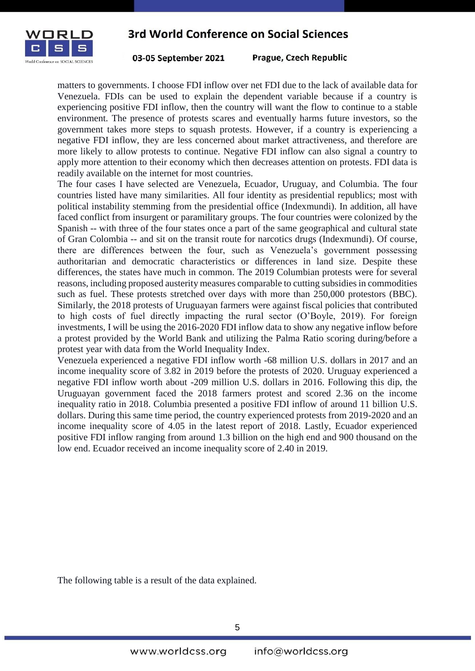

03-05 September 2021

Prague, Czech Republic

matters to governments. I choose FDI inflow over net FDI due to the lack of available data for Venezuela. FDIs can be used to explain the dependent variable because if a country is experiencing positive FDI inflow, then the country will want the flow to continue to a stable environment. The presence of protests scares and eventually harms future investors, so the government takes more steps to squash protests. However, if a country is experiencing a negative FDI inflow, they are less concerned about market attractiveness, and therefore are more likely to allow protests to continue. Negative FDI inflow can also signal a country to apply more attention to their economy which then decreases attention on protests. FDI data is readily available on the internet for most countries.

The four cases I have selected are Venezuela, Ecuador, Uruguay, and Columbia. The four countries listed have many similarities. All four identity as presidential republics; most with political instability stemming from the presidential office (Indexmundi). In addition, all have faced conflict from insurgent or paramilitary groups. The four countries were colonized by the Spanish -- with three of the four states once a part of the same geographical and cultural state of Gran Colombia -- and sit on the transit route for narcotics drugs (Indexmundi). Of course, there are differences between the four, such as Venezuela's government possessing authoritarian and democratic characteristics or differences in land size. Despite these differences, the states have much in common. The 2019 Columbian protests were for several reasons, including proposed austerity measures comparable to cutting subsidies in commodities such as fuel. These protests stretched over days with more than 250,000 protestors (BBC). Similarly, the 2018 protests of Uruguayan farmers were against fiscal policies that contributed to high costs of fuel directly impacting the rural sector (O'Boyle, 2019). For foreign investments, I will be using the 2016-2020 FDI inflow data to show any negative inflow before a protest provided by the World Bank and utilizing the Palma Ratio scoring during/before a protest year with data from the World Inequality Index.

Venezuela experienced a negative FDI inflow worth -68 million U.S. dollars in 2017 and an income inequality score of 3.82 in 2019 before the protests of 2020. Uruguay experienced a negative FDI inflow worth about -209 million U.S. dollars in 2016. Following this dip, the Uruguayan government faced the 2018 farmers protest and scored 2.36 on the income inequality ratio in 2018. Columbia presented a positive FDI inflow of around 11 billion U.S. dollars. During this same time period, the country experienced protests from 2019-2020 and an income inequality score of 4.05 in the latest report of 2018. Lastly, Ecuador experienced positive FDI inflow ranging from around 1.3 billion on the high end and 900 thousand on the low end. Ecuador received an income inequality score of 2.40 in 2019.

The following table is a result of the data explained.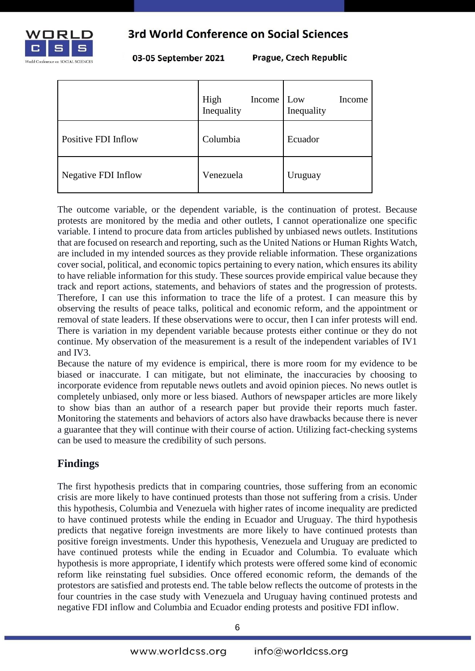

03-05 September 2021

Prague, Czech Republic

|                            | High<br><b>Income</b><br>Inequality | Low<br>Income<br>Inequality |
|----------------------------|-------------------------------------|-----------------------------|
| Positive FDI Inflow        | Columbia                            | Ecuador                     |
| <b>Negative FDI Inflow</b> | Venezuela                           | Uruguay                     |

The outcome variable, or the dependent variable, is the continuation of protest. Because protests are monitored by the media and other outlets, I cannot operationalize one specific variable. I intend to procure data from articles published by unbiased news outlets. Institutions that are focused on research and reporting, such as the United Nations or Human Rights Watch, are included in my intended sources as they provide reliable information. These organizations cover social, political, and economic topics pertaining to every nation, which ensures its ability to have reliable information for this study. These sources provide empirical value because they track and report actions, statements, and behaviors of states and the progression of protests. Therefore, I can use this information to trace the life of a protest. I can measure this by observing the results of peace talks, political and economic reform, and the appointment or removal of state leaders. If these observations were to occur, then I can infer protests will end. There is variation in my dependent variable because protests either continue or they do not continue. My observation of the measurement is a result of the independent variables of IV1 and IV3.

Because the nature of my evidence is empirical, there is more room for my evidence to be biased or inaccurate. I can mitigate, but not eliminate, the inaccuracies by choosing to incorporate evidence from reputable news outlets and avoid opinion pieces. No news outlet is completely unbiased, only more or less biased. Authors of newspaper articles are more likely to show bias than an author of a research paper but provide their reports much faster. Monitoring the statements and behaviors of actors also have drawbacks because there is never a guarantee that they will continue with their course of action. Utilizing fact-checking systems can be used to measure the credibility of such persons.

## **Findings**

The first hypothesis predicts that in comparing countries, those suffering from an economic crisis are more likely to have continued protests than those not suffering from a crisis. Under this hypothesis, Columbia and Venezuela with higher rates of income inequality are predicted to have continued protests while the ending in Ecuador and Uruguay. The third hypothesis predicts that negative foreign investments are more likely to have continued protests than positive foreign investments. Under this hypothesis, Venezuela and Uruguay are predicted to have continued protests while the ending in Ecuador and Columbia. To evaluate which hypothesis is more appropriate, I identify which protests were offered some kind of economic reform like reinstating fuel subsidies. Once offered economic reform, the demands of the protestors are satisfied and protests end. The table below reflects the outcome of protests in the four countries in the case study with Venezuela and Uruguay having continued protests and negative FDI inflow and Columbia and Ecuador ending protests and positive FDI inflow.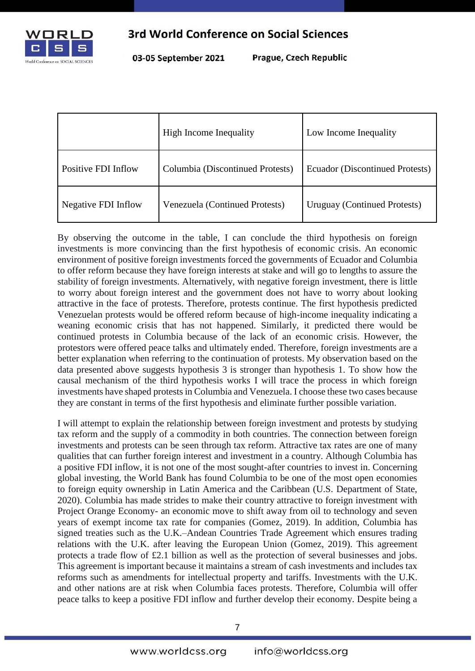

03-05 September 2021

Prague, Czech Republic

|                            | <b>High Income Inequality</b>    | Low Income Inequality           |
|----------------------------|----------------------------------|---------------------------------|
| Positive FDI Inflow        | Columbia (Discontinued Protests) | Ecuador (Discontinued Protests) |
| <b>Negative FDI Inflow</b> | Venezuela (Continued Protests)   | Uruguay (Continued Protests)    |

By observing the outcome in the table, I can conclude the third hypothesis on foreign investments is more convincing than the first hypothesis of economic crisis. An economic environment of positive foreign investments forced the governments of Ecuador and Columbia to offer reform because they have foreign interests at stake and will go to lengths to assure the stability of foreign investments. Alternatively, with negative foreign investment, there is little to worry about foreign interest and the government does not have to worry about looking attractive in the face of protests. Therefore, protests continue. The first hypothesis predicted Venezuelan protests would be offered reform because of high-income inequality indicating a weaning economic crisis that has not happened. Similarly, it predicted there would be continued protests in Columbia because of the lack of an economic crisis. However, the protestors were offered peace talks and ultimately ended. Therefore, foreign investments are a better explanation when referring to the continuation of protests. My observation based on the data presented above suggests hypothesis 3 is stronger than hypothesis 1. To show how the causal mechanism of the third hypothesis works I will trace the process in which foreign investments have shaped protests in Columbia and Venezuela. I choose these two cases because they are constant in terms of the first hypothesis and eliminate further possible variation.

I will attempt to explain the relationship between foreign investment and protests by studying tax reform and the supply of a commodity in both countries. The connection between foreign investments and protests can be seen through tax reform. Attractive tax rates are one of many qualities that can further foreign interest and investment in a country. Although Columbia has a positive FDI inflow, it is not one of the most sought-after countries to invest in. Concerning global investing, the World Bank has found Columbia to be one of the most open economies to foreign equity ownership in Latin America and the Caribbean (U.S. Department of State, 2020). Columbia has made strides to make their country attractive to foreign investment with Project Orange Economy- an economic move to shift away from oil to technology and seven years of exempt income tax rate for companies (Gomez, 2019). In addition, Columbia has signed treaties such as the U.K.–Andean Countries Trade Agreement which ensures trading relations with the U.K. after leaving the European Union (Gomez, 2019). This agreement protects a trade flow of £2.1 billion as well as the protection of several businesses and jobs. This agreement is important because it maintains a stream of cash investments and includes tax reforms such as amendments for intellectual property and tariffs. Investments with the U.K. and other nations are at risk when Columbia faces protests. Therefore, Columbia will offer peace talks to keep a positive FDI inflow and further develop their economy. Despite being a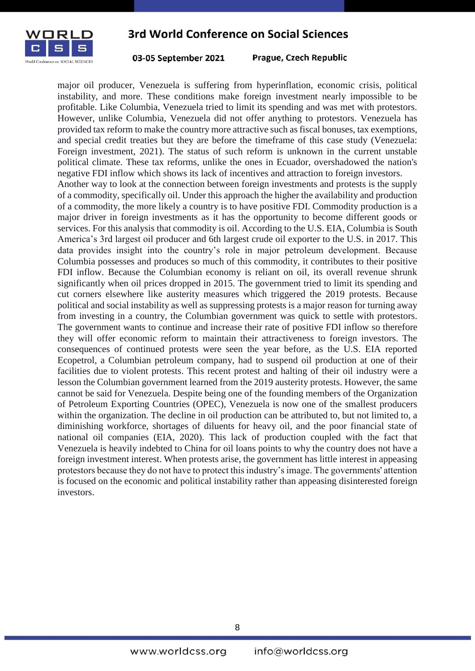

03-05 September 2021

Prague, Czech Republic

major oil producer, Venezuela is suffering from hyperinflation, economic crisis, political instability, and more. These conditions make foreign investment nearly impossible to be profitable. Like Columbia, Venezuela tried to limit its spending and was met with protestors. However, unlike Columbia, Venezuela did not offer anything to protestors. Venezuela has provided tax reform to make the country more attractive such as fiscal bonuses, tax exemptions, and special credit treaties but they are before the timeframe of this case study (Venezuela: Foreign investment, 2021). The status of such reform is unknown in the current unstable political climate. These tax reforms, unlike the ones in Ecuador, overshadowed the nation's negative FDI inflow which shows its lack of incentives and attraction to foreign investors. Another way to look at the connection between foreign investments and protests is the supply of a commodity, specifically oil. Under this approach the higher the availability and production of a commodity, the more likely a country is to have positive FDI. Commodity production is a major driver in foreign investments as it has the opportunity to become different goods or services. For this analysis that commodity is oil. According to the U.S. EIA, Columbia is South America's 3rd largest oil producer and 6th largest crude oil exporter to the U.S. in 2017. This data provides insight into the country's role in major petroleum development. Because Columbia possesses and produces so much of this commodity, it contributes to their positive FDI inflow. Because the Columbian economy is reliant on oil, its overall revenue shrunk significantly when oil prices dropped in 2015. The government tried to limit its spending and cut corners elsewhere like austerity measures which triggered the 2019 protests. Because political and social instability as well as suppressing protests is a major reason for turning away from investing in a country, the Columbian government was quick to settle with protestors. The government wants to continue and increase their rate of positive FDI inflow so therefore they will offer economic reform to maintain their attractiveness to foreign investors. The consequences of continued protests were seen the year before, as the U.S. EIA reported Ecopetrol, a Columbian petroleum company, had to suspend oil production at one of their facilities due to violent protests. This recent protest and halting of their oil industry were a lesson the Columbian government learned from the 2019 austerity protests. However, the same cannot be said for Venezuela. Despite being one of the founding members of the Organization of Petroleum Exporting Countries (OPEC), Venezuela is now one of the smallest producers within the organization. The decline in oil production can be attributed to, but not limited to, a diminishing workforce, shortages of diluents for heavy oil, and the poor financial state of national oil companies (EIA, 2020). This lack of production coupled with the fact that Venezuela is heavily indebted to China for oil loans points to why the country does not have a foreign investment interest. When protests arise, the government has little interest in appeasing protestors because they do not have to protect this industry's image. The governments' attention is focused on the economic and political instability rather than appeasing disinterested foreign investors.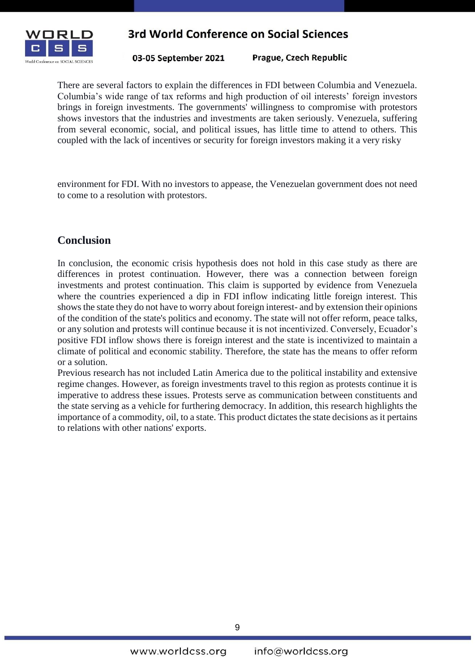

03-05 September 2021

Prague, Czech Republic

There are several factors to explain the differences in FDI between Columbia and Venezuela. Columbia's wide range of tax reforms and high production of oil interests' foreign investors brings in foreign investments. The governments' willingness to compromise with protestors shows investors that the industries and investments are taken seriously. Venezuela, suffering from several economic, social, and political issues, has little time to attend to others. This coupled with the lack of incentives or security for foreign investors making it a very risky

environment for FDI. With no investors to appease, the Venezuelan government does not need to come to a resolution with protestors.

#### **Conclusion**

In conclusion, the economic crisis hypothesis does not hold in this case study as there are differences in protest continuation. However, there was a connection between foreign investments and protest continuation. This claim is supported by evidence from Venezuela where the countries experienced a dip in FDI inflow indicating little foreign interest. This shows the state they do not have to worry about foreign interest- and by extension their opinions of the condition of the state's politics and economy. The state will not offer reform, peace talks, or any solution and protests will continue because it is not incentivized. Conversely, Ecuador's positive FDI inflow shows there is foreign interest and the state is incentivized to maintain a climate of political and economic stability. Therefore, the state has the means to offer reform or a solution.

Previous research has not included Latin America due to the political instability and extensive regime changes. However, as foreign investments travel to this region as protests continue it is imperative to address these issues. Protests serve as communication between constituents and the state serving as a vehicle for furthering democracy. In addition, this research highlights the importance of a commodity, oil, to a state. This product dictates the state decisions as it pertains to relations with other nations' exports.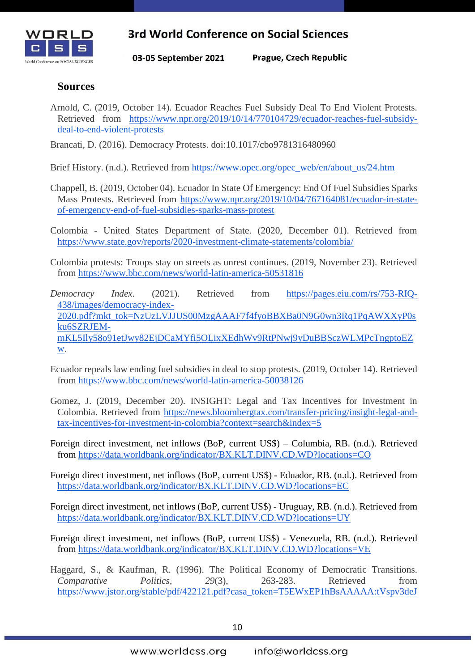

03-05 September 2021

Prague, Czech Republic

#### **Sources**

Arnold, C. (2019, October 14). Ecuador Reaches Fuel Subsidy Deal To End Violent Protests. Retrieved from [https://www.npr.org/2019/10/14/770104729/ecuador-reaches-fuel-subsidy](https://www.npr.org/2019/10/14/770104729/ecuador-reaches-fuel-subsidy-deal-to-end-violent-protests)[deal-to-end-violent-protests](https://www.npr.org/2019/10/14/770104729/ecuador-reaches-fuel-subsidy-deal-to-end-violent-protests)

Brancati, D. (2016). Democracy Protests. doi:10.1017/cbo9781316480960

Brief History. (n.d.). Retrieved from [https://www.opec.org/opec\\_web/en/about\\_us/24.htm](https://www.opec.org/opec_web/en/about_us/24.htm)

- Chappell, B. (2019, October 04). Ecuador In State Of Emergency: End Of Fuel Subsidies Sparks Mass Protests. Retrieved from [https://www.npr.org/2019/10/04/767164081/ecuador-in-state](https://www.npr.org/2019/10/04/767164081/ecuador-in-state-of-emergency-end-of-fuel-subsidies-sparks-mass-protest)[of-emergency-end-of-fuel-subsidies-sparks-mass-protest](https://www.npr.org/2019/10/04/767164081/ecuador-in-state-of-emergency-end-of-fuel-subsidies-sparks-mass-protest)
- Colombia United States Department of State. (2020, December 01). Retrieved from <https://www.state.gov/reports/2020-investment-climate-statements/colombia/>
- Colombia protests: Troops stay on streets as unrest continues. (2019, November 23). Retrieved from<https://www.bbc.com/news/world-latin-america-50531816>
- *Democracy Index*. (2021). Retrieved from [https://pages.eiu.com/rs/753-RIQ-](https://pages.eiu.com/rs/753-RIQ-438/images/democracy-index-2020.pdf?mkt_tok=NzUzLVJJUS00MzgAAAF7f4fyoBBXBa0N9G0wn3Rq1PqAWXXyP0sku6SZRJEM-mKL5Ily58o91etJwy82EjDCaMYfi5OLixXEdhWv9RtPNwj9yDuBBSczWLMPcTngptoEZw)[438/images/democracy-index-](https://pages.eiu.com/rs/753-RIQ-438/images/democracy-index-2020.pdf?mkt_tok=NzUzLVJJUS00MzgAAAF7f4fyoBBXBa0N9G0wn3Rq1PqAWXXyP0sku6SZRJEM-mKL5Ily58o91etJwy82EjDCaMYfi5OLixXEdhWv9RtPNwj9yDuBBSczWLMPcTngptoEZw)[2020.pdf?mkt\\_tok=NzUzLVJJUS00MzgAAAF7f4fyoBBXBa0N9G0wn3Rq1PqAWXXyP0s](https://pages.eiu.com/rs/753-RIQ-438/images/democracy-index-2020.pdf?mkt_tok=NzUzLVJJUS00MzgAAAF7f4fyoBBXBa0N9G0wn3Rq1PqAWXXyP0sku6SZRJEM-mKL5Ily58o91etJwy82EjDCaMYfi5OLixXEdhWv9RtPNwj9yDuBBSczWLMPcTngptoEZw) [ku6SZRJEM](https://pages.eiu.com/rs/753-RIQ-438/images/democracy-index-2020.pdf?mkt_tok=NzUzLVJJUS00MzgAAAF7f4fyoBBXBa0N9G0wn3Rq1PqAWXXyP0sku6SZRJEM-mKL5Ily58o91etJwy82EjDCaMYfi5OLixXEdhWv9RtPNwj9yDuBBSczWLMPcTngptoEZw)[mKL5Ily58o91etJwy82EjDCaMYfi5OLixXEdhWv9RtPNwj9yDuBBSczWLMPcTngptoEZ](https://pages.eiu.com/rs/753-RIQ-438/images/democracy-index-2020.pdf?mkt_tok=NzUzLVJJUS00MzgAAAF7f4fyoBBXBa0N9G0wn3Rq1PqAWXXyP0sku6SZRJEM-mKL5Ily58o91etJwy82EjDCaMYfi5OLixXEdhWv9RtPNwj9yDuBBSczWLMPcTngptoEZw) [w.](https://pages.eiu.com/rs/753-RIQ-438/images/democracy-index-2020.pdf?mkt_tok=NzUzLVJJUS00MzgAAAF7f4fyoBBXBa0N9G0wn3Rq1PqAWXXyP0sku6SZRJEM-mKL5Ily58o91etJwy82EjDCaMYfi5OLixXEdhWv9RtPNwj9yDuBBSczWLMPcTngptoEZw)
- Ecuador repeals law ending fuel subsidies in deal to stop protests. (2019, October 14). Retrieved from<https://www.bbc.com/news/world-latin-america-50038126>
- Gomez, J. (2019, December 20). INSIGHT: Legal and Tax Incentives for Investment in Colombia. Retrieved from [https://news.bloombergtax.com/transfer-pricing/insight-legal-and](https://news.bloombergtax.com/transfer-pricing/insight-legal-and-tax-incentives-for-investment-in-colombia?context=search&index=5)[tax-incentives-for-investment-in-colombia?context=search&index=5](https://news.bloombergtax.com/transfer-pricing/insight-legal-and-tax-incentives-for-investment-in-colombia?context=search&index=5)
- Foreign direct investment, net inflows (BoP, current US\$) Columbia, RB. (n.d.). Retrieved from <https://data.worldbank.org/indicator/BX.KLT.DINV.CD.WD?locations=CO>
- Foreign direct investment, net inflows (BoP, current US\$) Eduador, RB. (n.d.). Retrieved fro[m](https://data.worldbank.org/indicator/BX.KLT.DINV.CD.WD?locations=EC) <https://data.worldbank.org/indicator/BX.KLT.DINV.CD.WD?locations=EC>
- Foreign direct investment, net inflows (BoP, current US\$) Uruguay, RB. (n.d.). Retrieved fro[m](https://data.worldbank.org/indicator/BX.KLT.DINV.CD.WD?locations=UY) <https://data.worldbank.org/indicator/BX.KLT.DINV.CD.WD?locations=UY>
- Foreign direct investment, net inflows (BoP, current US\$) Venezuela, RB. (n.d.). Retrieved from <https://data.worldbank.org/indicator/BX.KLT.DINV.CD.WD?locations=VE>
- Haggard, S., & Kaufman, R. (1996). The Political Economy of Democratic Transitions. *Comparative Politics, 29*(3), 263-283. Retrieved from [https://www.jstor.org/stable/pdf/422121.pdf?casa\\_token=T5EWxEP1hBsAAAAA:tVspv3deJ](https://www.jstor.org/stable/pdf/422121.pdf?casa_token=T5EWxEP1hBsAAAAA:tVspv3deJkqVOuudRumwylV2Z9l3eR9A1wv5R-rD5uhhYDF0To-zCmbFtEjcKs0Rttnf8wB9sK-sNugeVPXzKqcP_o8XQ5GQ-DxOYZxdgddZxdZ9H8rX)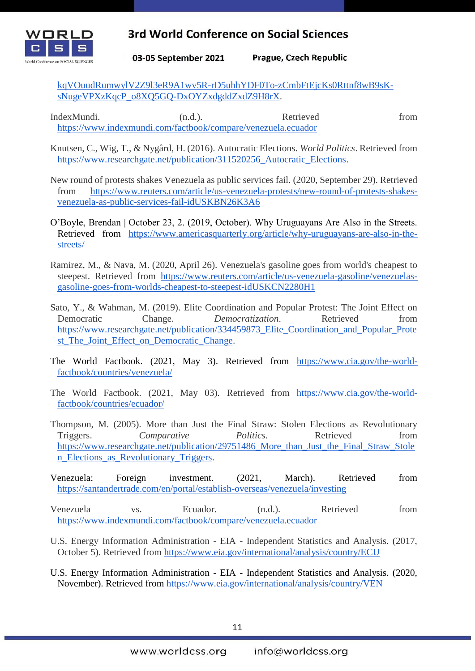

Prague, Czech Republic 03-05 September 2021

[kqVOuudRumwylV2Z9l3eR9A1wv5R-rD5uhhYDF0To-zCmbFtEjcKs0Rttnf8wB9sK](https://www.jstor.org/stable/pdf/422121.pdf?casa_token=T5EWxEP1hBsAAAAA:tVspv3deJkqVOuudRumwylV2Z9l3eR9A1wv5R-rD5uhhYDF0To-zCmbFtEjcKs0Rttnf8wB9sK-sNugeVPXzKqcP_o8XQ5GQ-DxOYZxdgddZxdZ9H8rX)[sNugeVPXzKqcP\\_o8XQ5GQ-DxOYZxdgddZxdZ9H8rX.](https://www.jstor.org/stable/pdf/422121.pdf?casa_token=T5EWxEP1hBsAAAAA:tVspv3deJkqVOuudRumwylV2Z9l3eR9A1wv5R-rD5uhhYDF0To-zCmbFtEjcKs0Rttnf8wB9sK-sNugeVPXzKqcP_o8XQ5GQ-DxOYZxdgddZxdZ9H8rX)

IndexMundi. (n.d.). Retrieved from <https://www.indexmundi.com/factbook/compare/venezuela.ecuador>

Knutsen, C., Wig, T., & Nygård, H. (2016). Autocratic Elections. *World Politics*. Retrieved from [https://www.researchgate.net/publication/311520256\\_Autocratic\\_Elections.](https://www.researchgate.net/publication/311520256_Autocratic_Elections)

New round of protests shakes Venezuela as public services fail. (2020, September 29). Retrieved from [https://www.reuters.com/article/us-venezuela-protests/new-round-of-protests-shakes](https://www.reuters.com/article/us-venezuela-protests/new-round-of-protests-shakes-venezuela-as-public-services-fail-idUSKBN26K3A6)[venezuela-as-public-services-fail-idUSKBN26K3A6](https://www.reuters.com/article/us-venezuela-protests/new-round-of-protests-shakes-venezuela-as-public-services-fail-idUSKBN26K3A6)

- O'Boyle, Brendan | October 23, 2. (2019, October). Why Uruguayans Are Also in the Streets. Retrieved from [https://www.americasquarterly.org/article/why-uruguayans-are-also-in-the](https://www.americasquarterly.org/article/why-uruguayans-are-also-in-the-streets/)[streets/](https://www.americasquarterly.org/article/why-uruguayans-are-also-in-the-streets/)
- Ramirez, M., & Nava, M. (2020, April 26). Venezuela's gasoline goes from world's cheapest to steepest. Retrieved from [https://www.reuters.com/article/us-venezuela-gasoline/venezuelas](https://www.reuters.com/article/us-venezuela-gasoline/venezuelas-gasoline-goes-from-worlds-cheapest-to-steepest-idUSKCN2280H1)[gasoline-goes-from-worlds-cheapest-to-steepest-idUSKCN2280H1](https://www.reuters.com/article/us-venezuela-gasoline/venezuelas-gasoline-goes-from-worlds-cheapest-to-steepest-idUSKCN2280H1)
- Sato, Y., & Wahman, M. (2019). Elite Coordination and Popular Protest: The Joint Effect on Democratic Change. *Democratization*. Retrieved from [https://www.researchgate.net/publication/334459873\\_Elite\\_Coordination\\_and\\_Popular\\_Prote](https://www.researchgate.net/publication/334459873_Elite_Coordination_and_Popular_Protest_The_Joint_Effect_on_Democratic_Change) st The Joint Effect on Democratic Change.
- The World Factbook. (2021, May 3). Retrieved from [https://www.cia.gov/the-world](https://www.cia.gov/the-world-factbook/countries/venezuela/)[factbook/countries/venezuela/](https://www.cia.gov/the-world-factbook/countries/venezuela/)
- The World Factbook. (2021, May 03). Retrieved from [https://www.cia.gov/the-world](https://www.cia.gov/the-world-factbook/countries/ecuador/)[factbook/countries/ecuador/](https://www.cia.gov/the-world-factbook/countries/ecuador/)
- Thompson, M. (2005). More than Just the Final Straw: Stolen Elections as Revolutionary Triggers. *Comparative Politics*. Retrieved from [https://www.researchgate.net/publication/29751486\\_More\\_than\\_Just\\_the\\_Final\\_Straw\\_Stole](https://www.researchgate.net/publication/29751486_More_than_Just_the_Final_Straw_Stolen_Elections_as_Revolutionary_Triggers) [n\\_Elections\\_as\\_Revolutionary\\_Triggers.](https://www.researchgate.net/publication/29751486_More_than_Just_the_Final_Straw_Stolen_Elections_as_Revolutionary_Triggers)
- Venezuela: Foreign investment. (2021, March). Retrieved fro[m](https://santandertrade.com/en/portal/establish-overseas/venezuela/investing) <https://santandertrade.com/en/portal/establish-overseas/venezuela/investing>
- Venezuela vs. Ecuador. (n.d.). Retrieved from <https://www.indexmundi.com/factbook/compare/venezuela.ecuador>
- U.S. Energy Information Administration EIA Independent Statistics and Analysis. (2017, October 5). Retrieved from<https://www.eia.gov/international/analysis/country/ECU>
- U.S. Energy Information Administration EIA Independent Statistics and Analysis. (2020, November). Retrieved from<https://www.eia.gov/international/analysis/country/VEN>